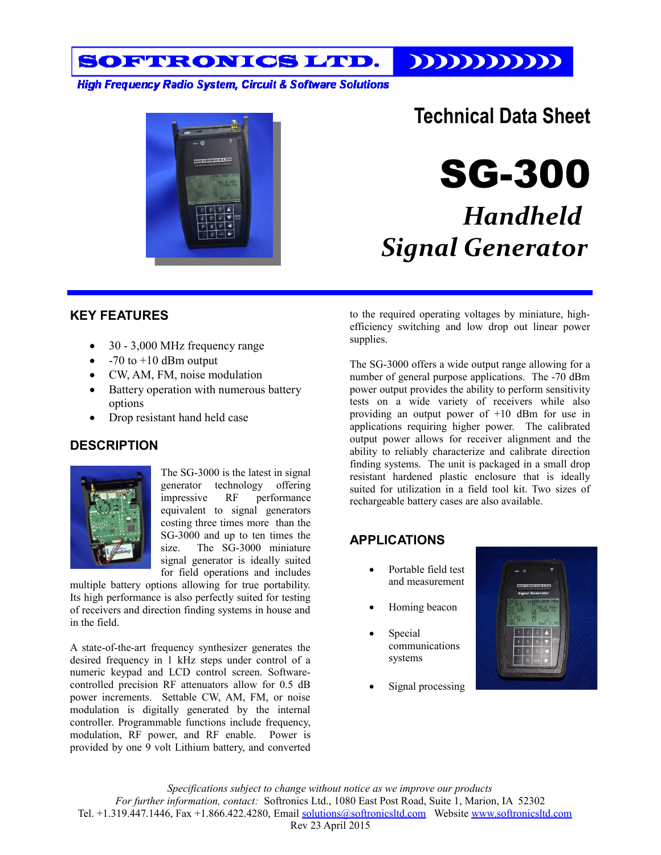$111111111111$ SOFTRONICS LTD.

**High Frequency Radio System, Circuit & Software Solutions** 



## **Technical Data Sheet**

SG-300

# *Handheld Signal Generator*

### **KEY FEATURES**

- 30 3,000 MHz frequency range
- $-70$  to  $+10$  dBm output
- CW, AM, FM, noise modulation
- Battery operation with numerous battery options
- Drop resistant hand held case

### **DESCRIPTION**



The SG-3000 is the latest in signal generator technology offering impressive RF performance equivalent to signal generators costing three times more than the SG-3000 and up to ten times the size. The SG-3000 miniature signal generator is ideally suited for field operations and includes

multiple battery options allowing for true portability. Its high performance is also perfectly suited for testing of receivers and direction finding systems in house and in the field.

A state-of-the-art frequency synthesizer generates the desired frequency in 1 kHz steps under control of a numeric keypad and LCD control screen. Softwarecontrolled precision RF attenuators allow for 0.5 dB power increments. Settable CW, AM, FM, or noise modulation is digitally generated by the internal controller. Programmable functions include frequency, modulation, RF power, and RF enable. Power is provided by one 9 volt Lithium battery, and converted

to the required operating voltages by miniature, highefficiency switching and low drop out linear power supplies.

The SG-3000 offers a wide output range allowing for a number of general purpose applications. The -70 dBm power output provides the ability to perform sensitivity tests on a wide variety of receivers while also providing an output power of +10 dBm for use in applications requiring higher power. The calibrated output power allows for receiver alignment and the ability to reliably characterize and calibrate direction finding systems. The unit is packaged in a small drop resistant hardened plastic enclosure that is ideally suited for utilization in a field tool kit. Two sizes of rechargeable battery cases are also available.

### **APPLICATIONS**

- Portable field test and measurement
- Homing beacon
- Special communications systems
- Signal processing